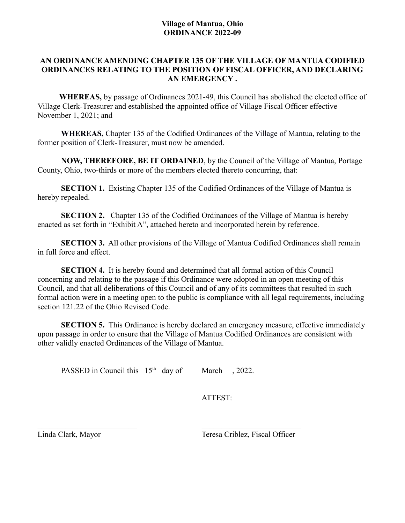# **AN ORDINANCE AMENDING CHAPTER 135 OF THE VILLAGE OF MANTUA CODIFIED ORDINANCES RELATING TO THE POSITION OF FISCAL OFFICER, AND DECLARING AN EMERGENCY .**

 **WHEREAS,** by passage of Ordinances 2021-49, this Council has abolished the elected office of Village Clerk-Treasurer and established the appointed office of Village Fiscal Officer effective November 1, 2021; and

**WHEREAS,** Chapter 135 of the Codified Ordinances of the Village of Mantua, relating to the former position of Clerk-Treasurer, must now be amended.

**NOW, THEREFORE, BE IT ORDAINED**, by the Council of the Village of Mantua, Portage County, Ohio, two-thirds or more of the members elected thereto concurring, that:

**SECTION 1.** Existing Chapter 135 of the Codified Ordinances of the Village of Mantua is hereby repealed.

**SECTION 2.** Chapter 135 of the Codified Ordinances of the Village of Mantua is hereby enacted as set forth in "Exhibit A", attached hereto and incorporated herein by reference.

**SECTION 3.** All other provisions of the Village of Mantua Codified Ordinances shall remain in full force and effect.

**SECTION 4.** It is hereby found and determined that all formal action of this Council concerning and relating to the passage if this Ordinance were adopted in an open meeting of this Council, and that all deliberations of this Council and of any of its committees that resulted in such formal action were in a meeting open to the public is compliance with all legal requirements, including section 121.22 of the Ohio Revised Code.

**SECTION 5.** This Ordinance is hereby declared an emergency measure, effective immediately upon passage in order to ensure that the Village of Mantua Codified Ordinances are consistent with other validly enacted Ordinances of the Village of Mantua.

PASSED in Council this  $15<sup>th</sup>$  day of March , 2022.

ATTEST:

Linda Clark, Mayor Teresa Criblez, Fiscal Officer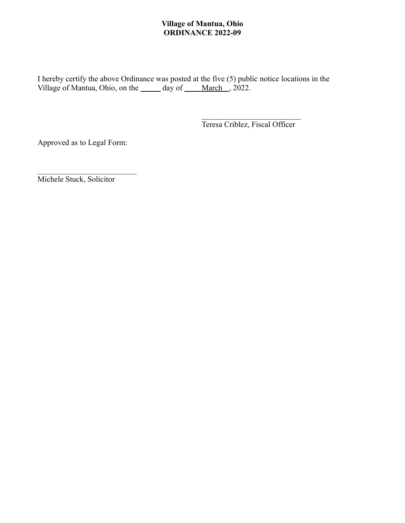I hereby certify the above Ordinance was posted at the five (5) public notice locations in the Village of Mantua, Ohio, on the <u>equility</u> day of March , 2022.

Teresa Criblez, Fiscal Officer

Approved as to Legal Form:

Michele Stuck, Solicitor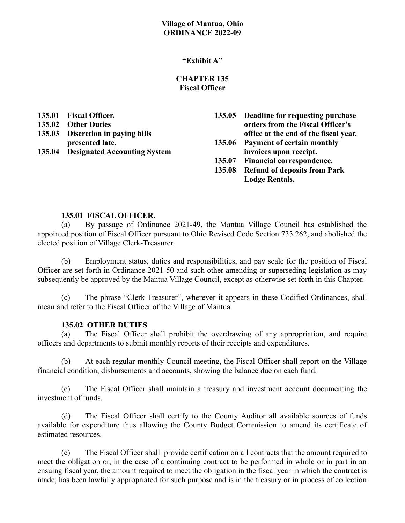## **"Exhibit A"**

### **CHAPTER 135 Fiscal Officer**

| 135.01 | <b>Fiscal Officer.</b>              | 135.05 Deadline for requesting purchase |
|--------|-------------------------------------|-----------------------------------------|
|        | 135.02 Other Duties                 | orders from the Fiscal Officer's        |
|        | 135.03 Discretion in paying bills   | office at the end of the fiscal year.   |
|        | presented late.                     | 135.06 Payment of certain monthly       |
|        | 135.04 Designated Accounting System | invoices upon receipt.                  |
|        |                                     | 135.07 Financial correspondence.        |
|        |                                     | 135.08 Refund of deposits from Park     |
|        |                                     | <b>Lodge Rentals.</b>                   |

### **135.01 FISCAL OFFICER.**

(a) By passage of Ordinance 2021-49, the Mantua Village Council has established the appointed position of Fiscal Officer pursuant to Ohio Revised Code Section 733.262, and abolished the elected position of Village Clerk-Treasurer.

(b) Employment status, duties and responsibilities, and pay scale for the position of Fiscal Officer are set forth in Ordinance 2021-50 and such other amending or superseding legislation as may subsequently be approved by the Mantua Village Council, except as otherwise set forth in this Chapter.

(c) The phrase "Clerk-Treasurer", wherever it appears in these Codified Ordinances, shall mean and refer to the Fiscal Officer of the Village of Mantua.

#### **135.02 OTHER DUTIES**

(a) The Fiscal Officer shall prohibit the overdrawing of any appropriation, and require officers and departments to submit monthly reports of their receipts and expenditures.

(b) At each regular monthly Council meeting, the Fiscal Officer shall report on the Village financial condition, disbursements and accounts, showing the balance due on each fund.

(c) The Fiscal Officer shall maintain a treasury and investment account documenting the investment of funds.

(d) The Fiscal Officer shall certify to the County Auditor all available sources of funds available for expenditure thus allowing the County Budget Commission to amend its certificate of estimated resources.

(e) The Fiscal Officer shall provide certification on all contracts that the amount required to meet the obligation or, in the case of a continuing contract to be performed in whole or in part in an ensuing fiscal year, the amount required to meet the obligation in the fiscal year in which the contract is made, has been lawfully appropriated for such purpose and is in the treasury or in process of collection